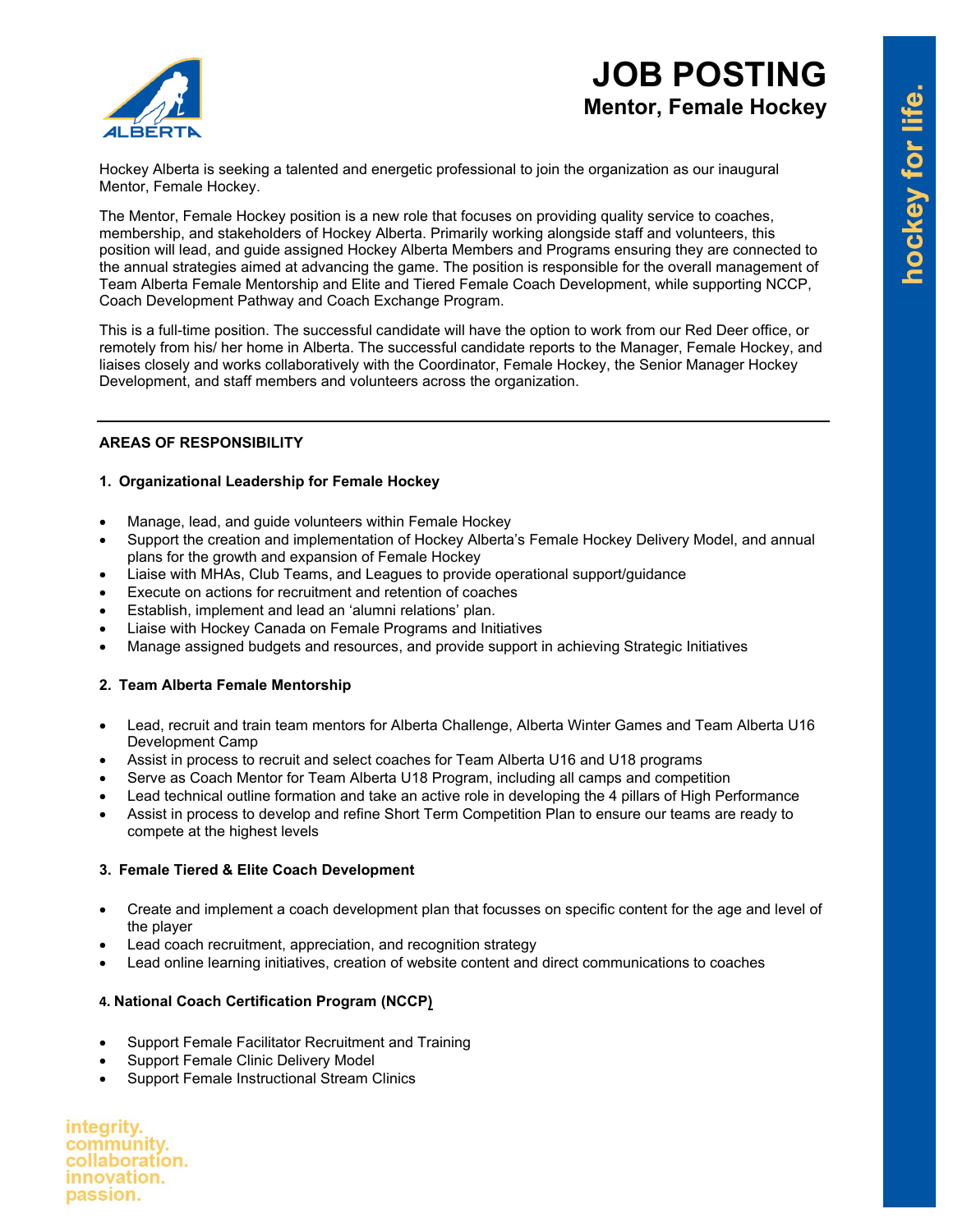

# **JOB POSTING Mentor, Female Hockey**

Hockey Alberta is seeking a talented and energetic professional to join the organization as our inaugural Mentor, Female Hockey.

The Mentor, Female Hockey position is a new role that focuses on providing quality service to coaches, membership, and stakeholders of Hockey Alberta. Primarily working alongside staff and volunteers, this position will lead, and guide assigned Hockey Alberta Members and Programs ensuring they are connected to the annual strategies aimed at advancing the game. The position is responsible for the overall management of Team Alberta Female Mentorship and Elite and Tiered Female Coach Development, while supporting NCCP, Coach Development Pathway and Coach Exchange Program.

This is a full-time position. The successful candidate will have the option to work from our Red Deer office, or remotely from his/ her home in Alberta. The successful candidate reports to the Manager, Female Hockey, and liaises closely and works collaboratively with the Coordinator, Female Hockey, the Senior Manager Hockey Development, and staff members and volunteers across the organization.

## **AREAS OF RESPONSIBILITY**

## **1. Organizational Leadership for Female Hockey**

- Manage, lead, and guide volunteers within Female Hockey
- Support the creation and implementation of Hockey Alberta's Female Hockey Delivery Model, and annual plans for the growth and expansion of Female Hockey
- Liaise with MHAs, Club Teams, and Leagues to provide operational support/guidance
- Execute on actions for recruitment and retention of coaches
- Establish, implement and lead an 'alumni relations' plan.
- Liaise with Hockey Canada on Female Programs and Initiatives
- Manage assigned budgets and resources, and provide support in achieving Strategic Initiatives

## **2. Team Alberta Female Mentorship**

- Lead, recruit and train team mentors for Alberta Challenge, Alberta Winter Games and Team Alberta U16 Development Camp
- Assist in process to recruit and select coaches for Team Alberta U16 and U18 programs
- Serve as Coach Mentor for Team Alberta U18 Program, including all camps and competition
- Lead technical outline formation and take an active role in developing the 4 pillars of High Performance
- Assist in process to develop and refine Short Term Competition Plan to ensure our teams are ready to compete at the highest levels

## **3. Female Tiered & Elite Coach Development**

- Create and implement a coach development plan that focusses on specific content for the age and level of the player
- Lead coach recruitment, appreciation, and recognition strategy
- Lead online learning initiatives, creation of website content and direct communications to coaches

## **4. National Coach Certification Program (NCCP)**

- Support Female Facilitator Recruitment and Training
- Support Female Clinic Delivery Model
- Support Female Instructional Stream Clinics

integrity. community. collaboration. innovation. passion.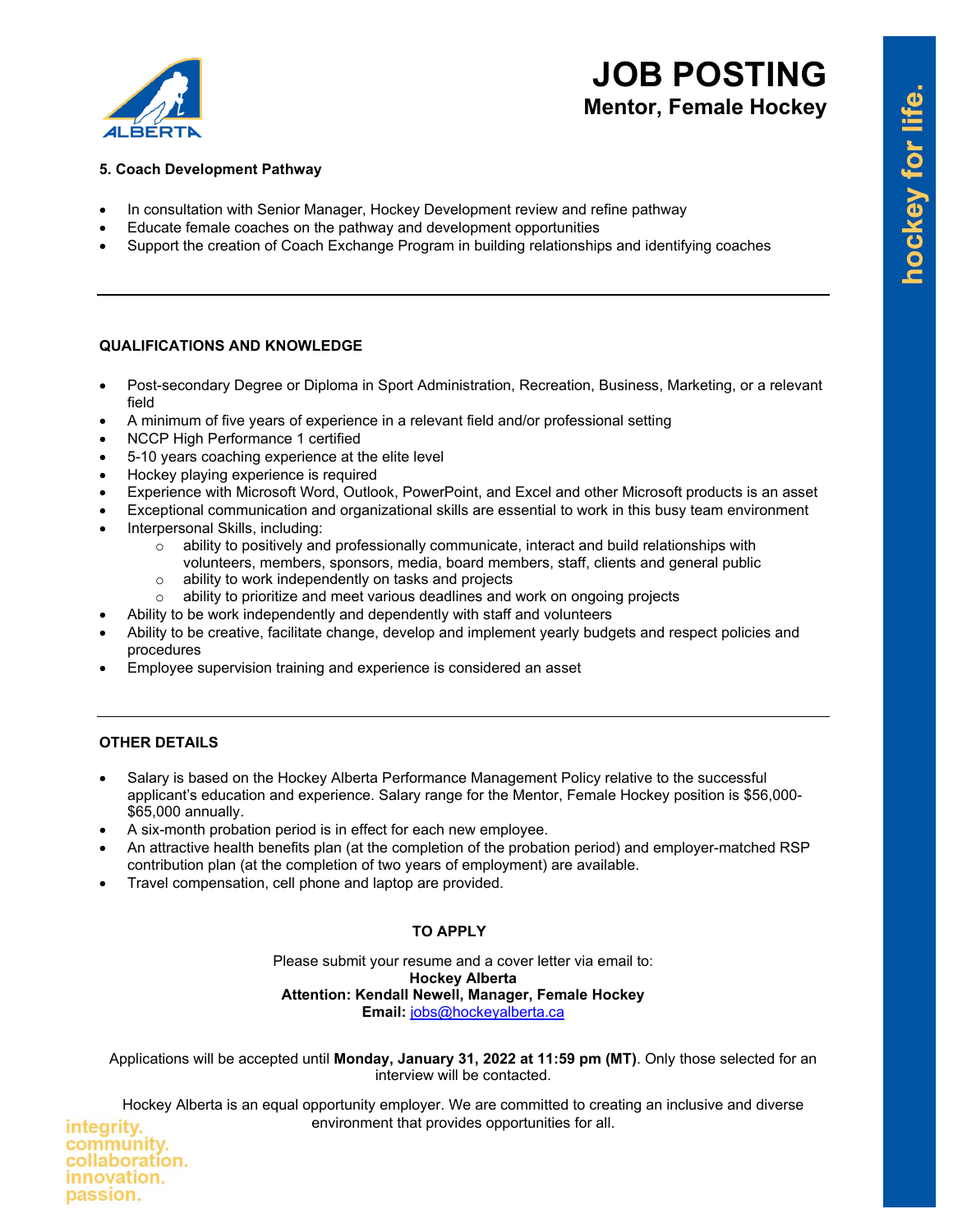

# **JOB POSTING Mentor, Female Hockey**

## **5. Coach Development Pathway**

- In consultation with Senior Manager, Hockey Development review and refine pathway
- Educate female coaches on the pathway and development opportunities
- Support the creation of Coach Exchange Program in building relationships and identifying coaches

## **QUALIFICATIONS AND KNOWLEDGE**

- Post-secondary Degree or Diploma in Sport Administration, Recreation, Business, Marketing, or a relevant field
- A minimum of five years of experience in a relevant field and/or professional setting
- NCCP High Performance 1 certified
- 5-10 years coaching experience at the elite level
- Hockey playing experience is required
- Experience with Microsoft Word, Outlook, PowerPoint, and Excel and other Microsoft products is an asset
- Exceptional communication and organizational skills are essential to work in this busy team environment
- Interpersonal Skills, including:
	- $\circ$  ability to positively and professionally communicate, interact and build relationships with volunteers, members, sponsors, media, board members, staff, clients and general public
	-
	- $\circ$  ability to work independently on tasks and projects  $\circ$  ability to prioritize and meet various deadlines and ability to prioritize and meet various deadlines and work on ongoing projects
- Ability to be work independently and dependently with staff and volunteers
- Ability to be creative, facilitate change, develop and implement yearly budgets and respect policies and procedures
- Employee supervision training and experience is considered an asset

## **OTHER DETAILS**

- Salary is based on the Hockey Alberta Performance Management Policy relative to the successful applicant's education and experience. Salary range for the Mentor, Female Hockey position is \$56,000- \$65,000 annually.
- A six-month probation period is in effect for each new employee.
- An attractive health benefits plan (at the completion of the probation period) and employer-matched RSP contribution plan (at the completion of two years of employment) are available.
- Travel compensation, cell phone and laptop are provided.

## **TO APPLY**

Please submit your resume and a cover letter via email to: **Hockey Alberta Attention: Kendall Newell, Manager, Female Hockey Email:** [jobs@hockeyalberta.ca](mailto:jobs@hockeyalberta.ca)

Applications will be accepted until **Monday, January 31, 2022 at 11:59 pm (MT)**. Only those selected for an interview will be contacted.

Hockey Alberta is an equal opportunity employer. We are committed to creating an inclusive and diverse environment that provides opportunities for all.

integrity. community. collaboration. innovation. passion.